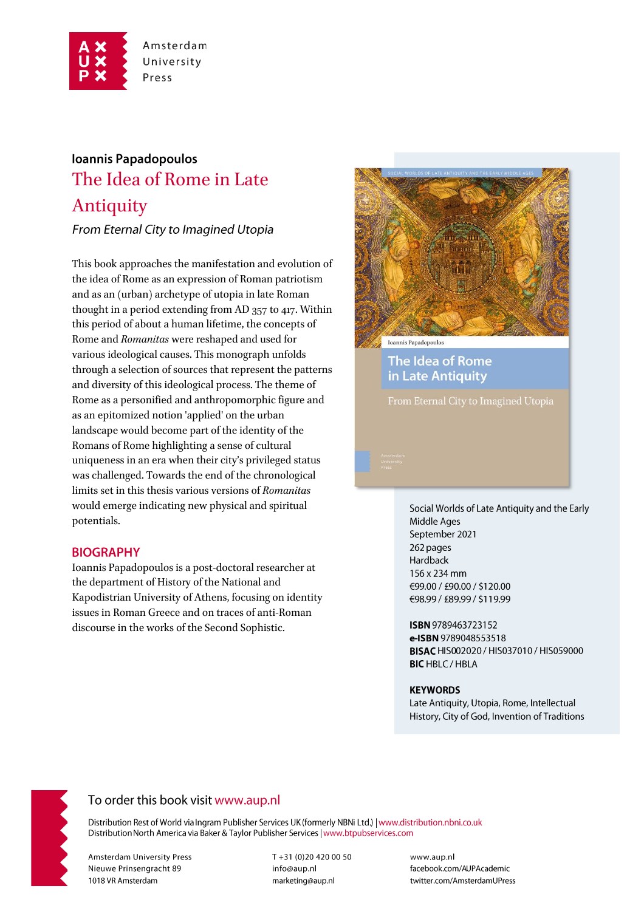

# Ioannis Papadopoulos The Idea of Rome in Late Antiquity

From Eternal City to Imagined Utopia

This book approaches the manifestation and evolution of the idea of Rome as an expression of Roman patriotism and as an (urban) archetype of utopia in late Roman thought in a period extending from AD 357 to 417. Within this period of about a human lifetime, the concepts of Rome and Romanitas were reshaped and used for various ideological causes. This monograph unfolds through a selection of sources that represent the patterns and diversity of this ideological process. The theme of Rome as a personified and anthropomorphic figure and as an epitomized notion 'applied' on the urban landscape would become part of the identity of the Romans of Rome highlighting a sense of cultural uniqueness in an era when their city's privileged status was challenged. Towards the end of the chronological limits set in this thesis various versions of Romanitas would emerge indicating new physical and spiritual potentials.

## **BIOGRAPHY**

Ioannis Papadopoulos is a post-doctoral researcher at the department of History of the National and Kapodistrian University of Athens, focusing on identity issues in Roman Greece and on traces of anti-Roman discourse in the works of the Second Sophistic.



The Idea of Rome in Late Antiquity

Social Worlds of Late Antiquity and the Early Middle Ages September 2021 262 pages Hardback 156 x 234 mm €99.00 / £90.00 / \$120.00 €98.99 / £89.99 / \$119.99

ISBN 9789463723152 e-ISBN 9789048553518 BISAC HIS002020 / HIS037010 / HIS059000 **BIC HBLC / HBLA** 

#### **KEYWORDS**

Late Antiquity, Utopia, Rome, Intellectual History, City of God, Invention of Traditions



# To order this book visit www.aup.nl

Distribution Rest of World via Ingram Publisher Services UK (formerly NBNi Ltd.) | www.distribution.nbni.co.uk Distribution North America via Baker & Taylor Publisher Services | www.btpubservices.com

**Amsterdam University Press** Nieuwe Prinsengracht 89 1018 VR Amsterdam

T+31 (0)20 420 00 50 info@aup.nl marketing@aup.nl

www.aup.nl facebook.com/AUPAcademic twitter.com/AmsterdamUPress